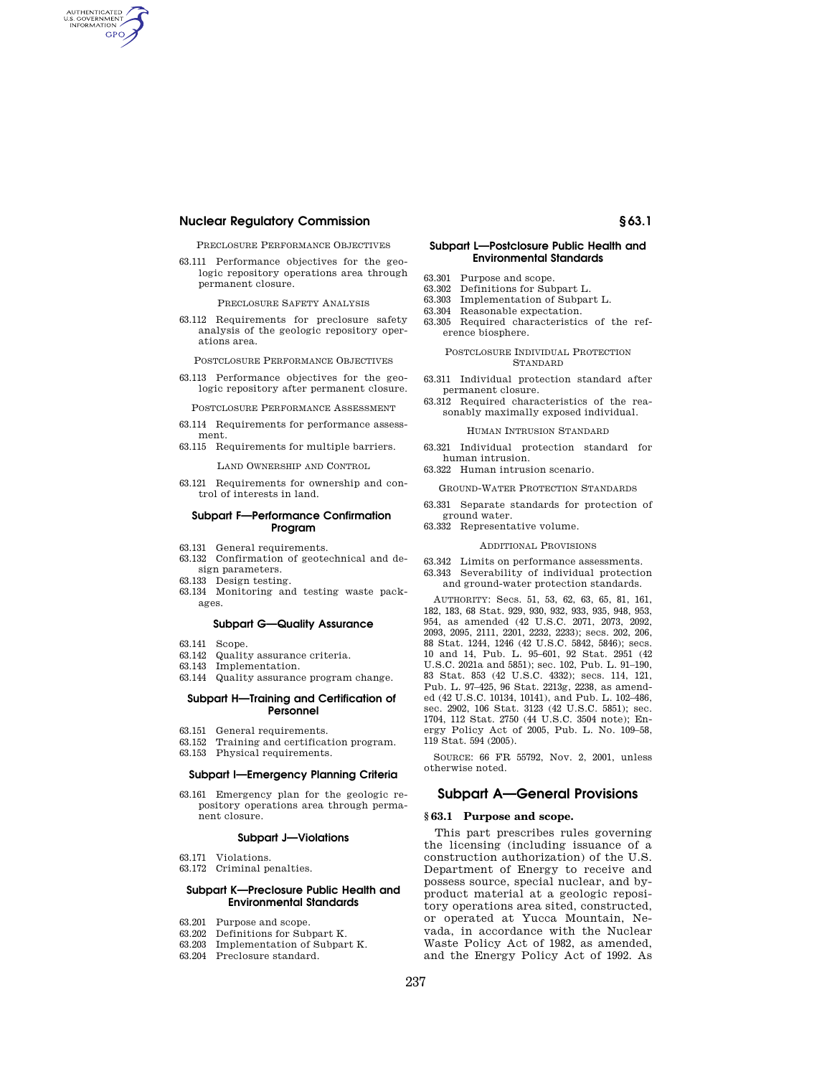# **Nuclear Regulatory Commission § 63.1**

AUTHENTICATED<br>U.S. GOVERNMENT<br>INFORMATION **GPO** 

PRECLOSURE PERFORMANCE OBJECTIVES

63.111 Performance objectives for the geologic repository operations area through permanent closure.

PRECLOSURE SAFETY ANALYSIS

63.112 Requirements for preclosure safety analysis of the geologic repository operations area.

POSTCLOSURE PERFORMANCE OBJECTIVES

63.113 Performance objectives for the geologic repository after permanent closure.

POSTCLOSURE PERFORMANCE ASSESSMENT

- 63.114 Requirements for performance assessment.
- 63.115 Requirements for multiple barriers.

LAND OWNERSHIP AND CONTROL

63.121 Requirements for ownership and control of interests in land.

### **Subpart F—Performance Confirmation Program**

- 63.131 General requirements.
- 63.132 Confirmation of geotechnical and design parameters.
- 63.133 Design testing.
- 63.134 Monitoring and testing waste packages.

#### **Subpart G—Quality Assurance**

- 63.141 Scope.
- 63.142 Quality assurance criteria.
- 63.143 Implementation.
- 63.144 Quality assurance program change.

### **Subpart H—Training and Certification of Personnel**

- 63.151 General requirements.
- 63.152 Training and certification program.
- 63.153 Physical requirements.

#### **Subpart I—Emergency Planning Criteria**

63.161 Emergency plan for the geologic repository operations area through permanent closure.

### **Subpart J—Violations**

- 63.171 Violations.
- 63.172 Criminal penalties.

## **Subpart K—Preclosure Public Health and Environmental Standards**

- 63.201 Purpose and scope.
- 63.202 Definitions for Subpart K.
- 63.203 Implementation of Subpart K.
- 63.204 Preclosure standard.

## **Subpart L—Postclosure Public Health and Environmental Standards**

- 63.301 Purpose and scope.
- 63.302 Definitions for Subpart L.
- 63.303 Implementation of Subpart L.
- 63.304 Reasonable expectation.<br>63.305 Required characteristic Required characteristics of the reference biosphere.

#### POSTCLOSURE INDIVIDUAL PROTECTION STANDARD

- 63.311 Individual protection standard after permanent closure.
- 63.312 Required characteristics of the reasonably maximally exposed individual.

#### HUMAN INTRUSION STANDARD

63.321 Individual protection standard for human intrusion.

63.322 Human intrusion scenario.

- GROUND-WATER PROTECTION STANDARDS
- 63.331 Separate standards for protection of ground water.
- 63.332 Representative volume.

#### ADDITIONAL PROVISIONS

63.342 Limits on performance assessments. 63.343 Severability of individual protection and ground-water protection standards.

AUTHORITY: Secs. 51, 53, 62, 63, 65, 81, 161, 182, 183, 68 Stat. 929, 930, 932, 933, 935, 948, 953, 954, as amended (42 U.S.C. 2071, 2073, 2092, 2093, 2095, 2111, 2201, 2232, 2233); secs. 202, 206, 88 Stat. 1244, 1246 (42 U.S.C. 5842, 5846); secs. 10 and 14, Pub. L. 95–601, 92 Stat. 2951 (42 U.S.C. 2021a and 5851); sec. 102, Pub. L. 91–190, 83 Stat. 853 (42 U.S.C. 4332); secs. 114, 121, Pub. L. 97–425, 96 Stat. 2213g, 2238, as amended (42 U.S.C. 10134, 10141), and Pub. L. 102–486, sec. 2902, 106 Stat. 3123 (42 U.S.C. 5851); sec. 1704, 112 Stat. 2750 (44 U.S.C. 3504 note); Energy Policy Act of 2005, Pub. L. No. 109–58, 119 Stat. 594 (2005).

SOURCE: 66 FR 55792, Nov. 2, 2001, unless otherwise noted.

## **Subpart A—General Provisions**

#### **§ 63.1 Purpose and scope.**

This part prescribes rules governing the licensing (including issuance of a construction authorization) of the U.S. Department of Energy to receive and possess source, special nuclear, and byproduct material at a geologic repository operations area sited, constructed, or operated at Yucca Mountain, Nevada, in accordance with the Nuclear Waste Policy Act of 1982, as amended, and the Energy Policy Act of 1992. As